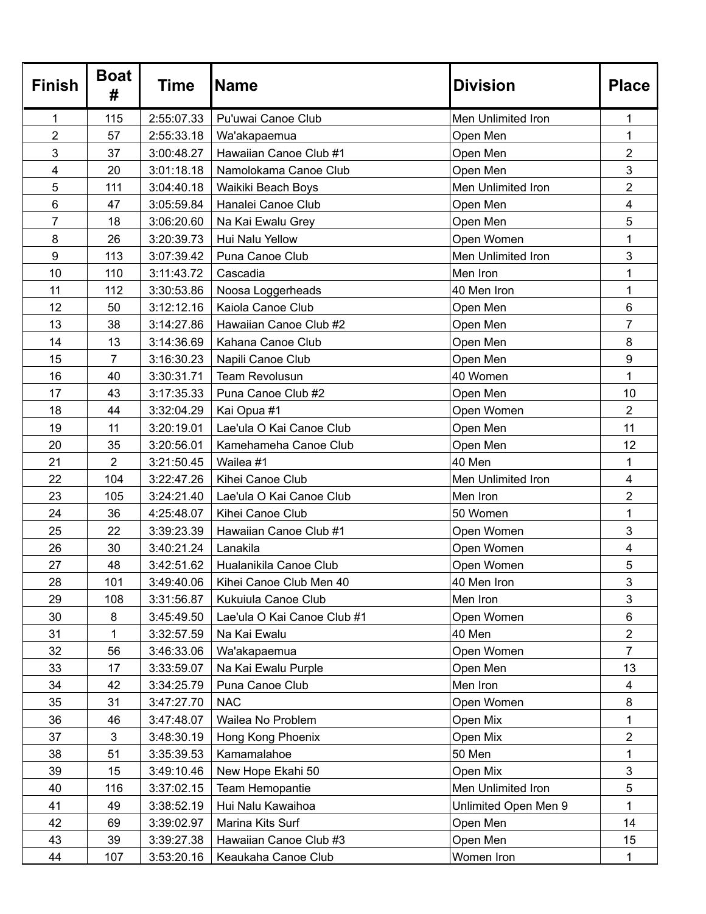| <b>Finish</b>  | <b>Boat</b><br># | <b>Time</b> | <b>Name</b>                 | <b>Division</b>           | <b>Place</b>            |
|----------------|------------------|-------------|-----------------------------|---------------------------|-------------------------|
| 1              | 115              | 2:55:07.33  | Pu'uwai Canoe Club          | <b>Men Unlimited Iron</b> | 1                       |
| $\overline{2}$ | 57               | 2:55:33.18  | Wa'akapaemua                | Open Men                  | 1                       |
| 3              | 37               | 3:00:48.27  | Hawaiian Canoe Club #1      | Open Men                  | $\overline{2}$          |
| 4              | 20               | 3:01:18.18  | Namolokama Canoe Club       | Open Men                  | 3                       |
| 5              | 111              | 3:04:40.18  | Waikiki Beach Boys          | Men Unlimited Iron        | $\overline{2}$          |
| 6              | 47               | 3:05:59.84  | Hanalei Canoe Club          | Open Men                  | $\overline{\mathbf{4}}$ |
| 7              | 18               | 3:06:20.60  | Na Kai Ewalu Grey           | Open Men                  | 5                       |
| 8              | 26               | 3:20:39.73  | Hui Nalu Yellow             | Open Women                | 1                       |
| 9              | 113              | 3:07:39.42  | Puna Canoe Club             | Men Unlimited Iron        | 3                       |
| 10             | 110              | 3:11:43.72  | Cascadia                    | Men Iron                  | 1                       |
| 11             | 112              | 3:30:53.86  | Noosa Loggerheads           | 40 Men Iron               | 1                       |
| 12             | 50               | 3:12:12.16  | Kaiola Canoe Club           | Open Men                  | 6                       |
| 13             | 38               | 3:14:27.86  | Hawaiian Canoe Club #2      | Open Men                  | 7                       |
| 14             | 13               | 3:14:36.69  | Kahana Canoe Club           | Open Men                  | 8                       |
| 15             | $\overline{7}$   | 3:16:30.23  | Napili Canoe Club           | Open Men                  | 9                       |
| 16             | 40               | 3:30:31.71  | <b>Team Revolusun</b>       | 40 Women                  | $\mathbf{1}$            |
| 17             | 43               | 3:17:35.33  | Puna Canoe Club #2          | Open Men                  | 10                      |
| 18             | 44               | 3:32:04.29  | Kai Opua #1                 | Open Women                | $\overline{2}$          |
| 19             | 11               | 3:20:19.01  | Lae'ula O Kai Canoe Club    | Open Men                  | 11                      |
| 20             | 35               | 3:20:56.01  | Kamehameha Canoe Club       | Open Men                  | 12                      |
| 21             | $\overline{2}$   | 3:21:50.45  | Wailea #1                   | 40 Men                    | 1                       |
| 22             | 104              | 3:22:47.26  | Kihei Canoe Club            | <b>Men Unlimited Iron</b> | 4                       |
| 23             | 105              | 3:24:21.40  | Lae'ula O Kai Canoe Club    | Men Iron                  | $\overline{2}$          |
| 24             | 36               | 4:25:48.07  | Kihei Canoe Club            | 50 Women                  | 1                       |
| 25             | 22               | 3:39:23.39  | Hawaiian Canoe Club #1      | Open Women                | 3                       |
| 26             | 30               | 3:40:21.24  | Lanakila                    | Open Women                | 4                       |
| 27             | 48               | 3:42:51.62  | Hualanikila Canoe Club      | Open Women                | 5                       |
| 28             | 101              | 3:49:40.06  | Kihei Canoe Club Men 40     | 40 Men Iron               | 3                       |
| 29             | 108              | 3:31:56.87  | Kukuiula Canoe Club         | Men Iron                  | 3                       |
| 30             | 8                | 3:45:49.50  | Lae'ula O Kai Canoe Club #1 | Open Women                | 6                       |
| 31             | 1                | 3:32:57.59  | Na Kai Ewalu                | 40 Men                    | $\overline{2}$          |
| 32             | 56               | 3:46:33.06  | Wa'akapaemua                | Open Women                | $\overline{7}$          |
| 33             | 17               | 3:33:59.07  | Na Kai Ewalu Purple         | Open Men                  | 13                      |
| 34             | 42               | 3:34:25.79  | Puna Canoe Club             | Men Iron                  | 4                       |
| 35             | 31               | 3:47:27.70  | <b>NAC</b>                  | Open Women                | 8                       |
| 36             | 46               | 3:47:48.07  | Wailea No Problem           | Open Mix                  | 1                       |
| 37             | 3                | 3:48:30.19  | Hong Kong Phoenix           | Open Mix                  | $\overline{2}$          |
| 38             | 51               | 3:35:39.53  | Kamamalahoe                 | 50 Men                    | 1                       |
| 39             | 15               | 3:49:10.46  | New Hope Ekahi 50           | Open Mix                  | 3                       |
| 40             | 116              | 3:37:02.15  | Team Hemopantie             | Men Unlimited Iron        | 5                       |
| 41             | 49               | 3:38:52.19  | Hui Nalu Kawaihoa           | Unlimited Open Men 9      | 1                       |
| 42             | 69               | 3:39:02.97  | Marina Kits Surf            | Open Men                  | 14                      |
| 43             | 39               | 3:39:27.38  | Hawaiian Canoe Club #3      | Open Men                  | 15                      |
| 44             | 107              | 3:53:20.16  | Keaukaha Canoe Club         | Women Iron                | 1                       |